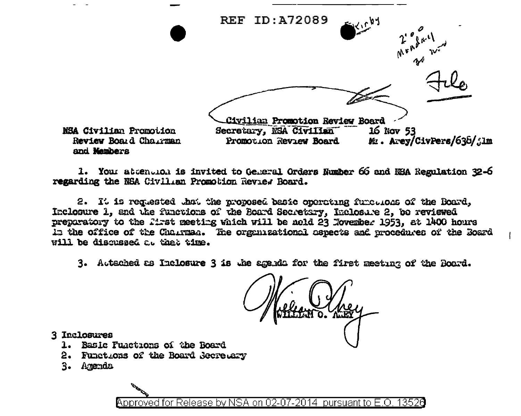

1. Your attention is invited to General Orders Number 66 and NSA Regulation 32-6 regarding the NSA Civilian Promotion Review Board.

2. It is requested that the proposed basic operating functions of the Board. Inclosure 1. and the functions of the Board Secretary, Inclosure 2, to reviewed preparatory to the first meeting which will be nold 23 November 1953, at 1400 hours In the office of the Chairman. The organizational aspects and procedures of the Board will be discussed at that time.

3. Autached as Inclosure 3 is the agenda for the first meeting of the Board.

3 Inclosures

- 1. Basic Fuactions of the Board
- 2. Functions of the Board Secretary
- 3. Arenda

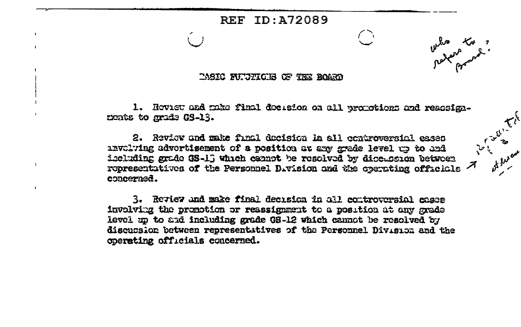## **REF ID: 472089**

## TASIC FUTTICES OF THE BOARD

1. Hoviet and mixe final docusion on all proportions and readsignnents to grade GS-13.

 $\bigcap$ 

who to ?

in the form

2. Review and make final decision in all controversial eases anvalving advertisement of a position at any grade level up to and iccluding grade GS-13 which cannot be resolved by discussion between representatives of the Personnel Division and the operating officials  $\bar{\mathcal{A}}$ concerned.

 $\mathbf{r}$ 

3. Review and make final decision in all controversial cases involving the promotion or reassignment to a position at any grade level un to and including grade GS-12 which cannot be resolved by discussion between representatives of the Personnel Division and the coerating officials concerned.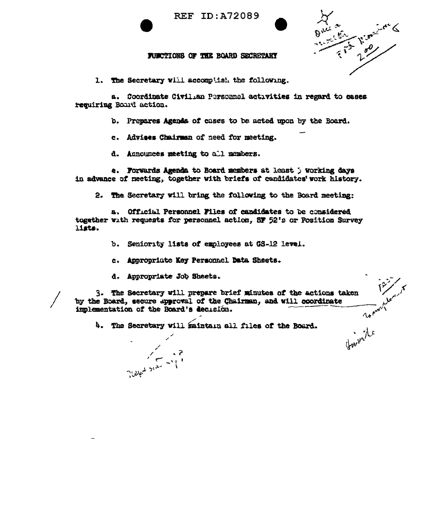

**REF ID: A72089** 



 $\Lambda$ 

## FUNCTIONS OF THE BOARD SECRETARY

1. The Secretary will accomplish the following.

a. Coordinate Civilian Personnel activities in regard to cases requiring Board action.

b. Prepares Agenda of cases to be acted upon by the Board.

c. Advises Chairman of need for meeting.

d. Announces meeting to all members.

e. Forwards Agenda to Board members at least ) working days in advance of meeting, together with briefs of candidates work history.

2. The Secretary will bring the following to the Board meeting:

a. Official Personnel Files of candidates to be considered together with requests for personnel action, SF 52's or Position Survey lists.

- Seniority lists of employees at GS-12 level. ን.
- c. Appropriate Key Personnel Data Sheets.
- d. Appropriate Job Sheets.

3. The Secretary will prepare brief minutes of the actions taken by the Board, secure approval of the Chairman, and will coordinate implementation of the Board's decision.

4. The Secretary will maintain all files of the Board.